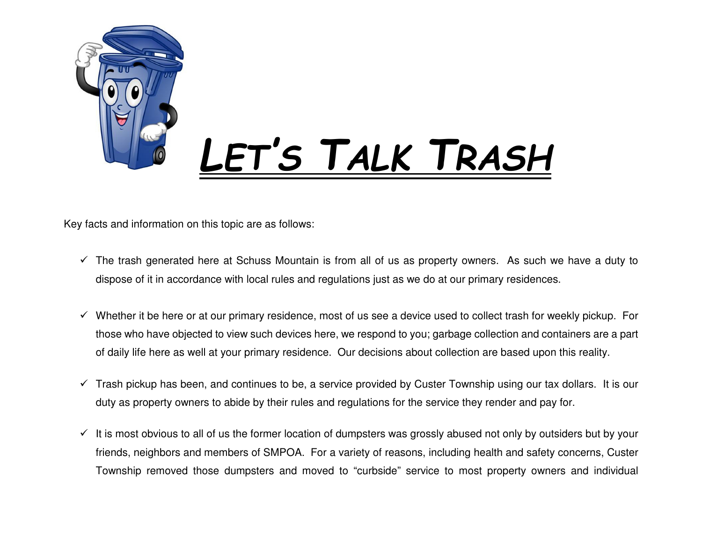

Key facts and information on this topic are as follows:

- $\checkmark$  The trash generated here at Schuss Mountain is from all of us as property owners. As such we have a duty to dispose of it in accordance with local rules and regulations just as we do at our primary residences.
- $\checkmark$  Whether it be here or at our primary residence, most of us see a device used to collect trash for weekly pickup. For those who have objected to view such devices here, we respond to you; garbage collection and containers are a part of daily life here as well at your primary residence. Our decisions about collection are based upon this reality.
- $\checkmark$  Trash pickup has been, and continues to be, a service provided by Custer Township using our tax dollars. It is our duty as property owners to abide by their rules and regulations for the service they render and pay for.
- $\checkmark$  It is most obvious to all of us the former location of dumpsters was grossly abused not only by outsiders but by your friends, neighbors and members of SMPOA. For a variety of reasons, including health and safety concerns, Custer Township removed those dumpsters and moved to "curbside" service to most property owners and individual